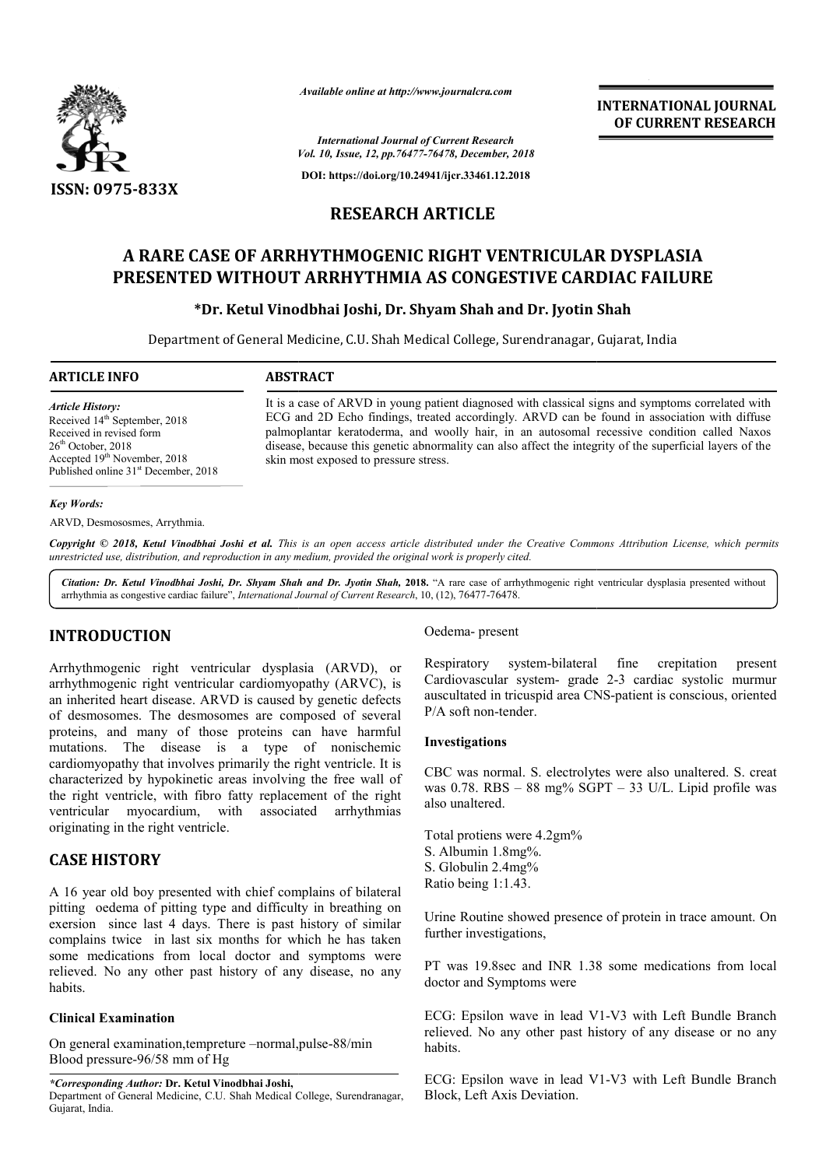

*Available online at http://www.journalcra.com*

**INTERNATIONAL JOURNAL OF CURRENT RESEARCH**

*Vol. 10, Issue, 12, pp.76477-76478, December, 2018 International Journal of Current Research*

**DOI: https://doi.org/10.24941/ijcr.33461.12.2018**

# **RESEARCH ARTICLE**

# **A RARE CASE OF ARRHYTHMOGENIC RIGHT VENTRICULAR DYSPLASIA PRESENTED WITHOUT ARRHYTHMIA AS CONGESTIVE CARDIAC FAILURE MOGENIC RIGHT VENTRICULAR DYSPLASIA<br>HYTHMIA AS CONGESTIVE CARDIAC FAILURI<br>Joshi, Dr. Shyam Shah and Dr. Jyotin Shah**

# **\*Dr. Ketul Vinodbhai Joshi, Dr. Shyam Shah and Dr. Jyotin Shah**

Department of General Medicine, C.U. Shah Medical College, Surendranagar, Gujarat, India Surendranagar, Gujarat,

#### **ARTICLE INFO ABSTRACT**

*Article History:*

It is a case of ARVD in young patient diagnosed with classical signs and symptoms correlated with ECG and 2D Echo findings, treated accordingly. ARVD can be found in association with diffuse palmoplantar keratoderma, and woolly hair, in an autosomal recessive condition called Naxos palmoplantar keratoderma, and woolly hair, in an autosomal recessive condition called Naxos disease, because this genetic abnormality can also affect the integrity of the superficial layers of the skin most exposed to pressure stress.

#### *Key Words:*

ARVD, Desmososmes, Arrythmia.

Received 14<sup>th</sup> September, 2018 Received in revised form 26<sup>th</sup> October, 2018

Accepted 19<sup>th</sup> November, 2018 Published online 31<sup>st</sup> December, 2018

Copyright © 2018, Ketul Vinodbhai Joshi et al. This is an open access article distributed under the Creative Commons Attribution License, which permits *unrestricted use, distribution, and reproduction in any medium, provided the original work is properly cited.*

Citation: Dr. Ketul Vinodbhai Joshi, Dr. Shyam Shah and Dr. Jyotin Shah, 2018. "A rare case of arrhythmogenic right ventricular dysplasia presented without arrhythmia as congestive cardiac failure", *International Journal of Current Research* , 10, (12), 76477-76478.

# **INTRODUCTION**

Arrhythmogenic right ventricular dysplasia (ARVD), or arrhythmogenic right ventricular cardiomyopathy (ARVC), is an inherited heart disease. ARVD is caused by genetic defects of desmosomes. The desmosomes are composed of several proteins, and many of those proteins can have harmful mutations. The disease is a type of nonischemic cardiomyopathy that involves primarily the right ventricle. It is characterized by hypokinetic areas involving the free wall of the right ventricle, with fibro fatty replacement of the right ventricular myocardium, with associated arrhythmias originating in the right ventricle.

# **CASE HISTORY**

A 16 year old boy presented with chief complains of bilateral pitting oedema of pitting type and difficulty in breathing on exersion since last 4 days. There is past history of similar complains twice in last six months for which he has taken some medications from local doctor and symptoms were relieved. No any other past history of any disease, no any habits.

## **Clinical Examination**

On general examination, tempreture -normal, pulse-88/min Blood pressure-96/58 mm of Hg

*\*Corresponding Author:* **Dr. Ketul Vinodbhai Joshi,**  Department of General Medicine, C.U. Shah Medical College, Surendranagar, Gujarat, India.

## Oedema- present

Respiratory system-bilateral fine crepitation present Respiratory system-bilateral fine crepitation present<br>Cardiovascular system- grade 2-3 cardiac systolic murmur auscultated in tricuspid area CNS-patient is conscious, oriented P/A soft non-tender.

#### **Investigations**

CBC was normal. S. electrolytes were also unaltered. S. creat was 0.78. RBS – 88 mg% SGPT – 33 U/L. Lipid profile was also unaltered.

Total protiens were 4.2gm% S. Albumin 1.8mg%. S. Globulin 2.4mg% Ratio being 1:1.43.

Urine Routine showed presence of protein in trace amount. On<br>further investigations,<br>PT was 19.8sec and INR 1.38 some medications from local further investigations,

PT was 19.8sec and INR 1.38 some medications from local doctor and Symptoms were

ECG: Epsilon wave in lead V1-V3 with Left Bundle Branch relieved. No any other past history of any disease or no any habits. relieved. No any other past history of any disease or no any<br>habits.<br>ECG: Epsilon wave in lead V1-V3 with Left Bundle Branch

Block, Left Axis Deviation.